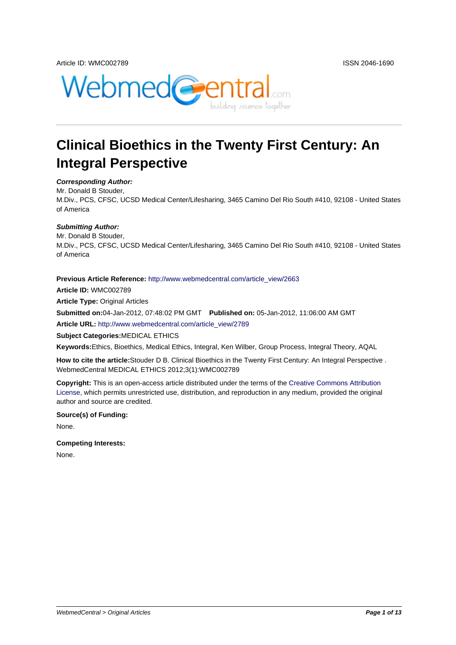

# **Clinical Bioethics in the Twenty First Century: An Integral Perspective**

#### **Corresponding Author:**

Mr. Donald B Stouder, M.Div., PCS, CFSC, UCSD Medical Center/Lifesharing, 3465 Camino Del Rio South #410, 92108 - United States of America

#### **Submitting Author:**

Mr. Donald B Stouder, M.Div., PCS, CFSC, UCSD Medical Center/Lifesharing, 3465 Camino Del Rio South #410, 92108 - United States of America

#### **Previous Article Reference:** http://www.webmedcentral.com/article\_view/2663

**Article ID:** WMC002789

**Article Type:** Original Articles

**Submitted on:**04-Jan-2012, [07:48:02 PM GMT](http://www.webmedcentral.com//article_view/2663) **Published on:** 05-Jan-2012, 11:06:00 AM GMT

**Article URL:** http://www.webmedcentral.com/article\_view/2789

**Subject Categories:**MEDICAL ETHICS

**Keywords:**Ethics, Bioethics, Medical Ethics, Integral, Ken Wilber, Group Process, Integral Theory, AQAL

**How to cite the article:**[Stouder D B. Clinical Bioethics in the Tw](http://www.webmedcentral.com/article_view/2789)enty First Century: An Integral Perspective . WebmedCentral MEDICAL ETHICS 2012;3(1):WMC002789

**Copyright:** This is an open-access article distributed under the terms of the Creative Commons Attribution License, which permits unrestricted use, distribution, and reproduction in any medium, provided the original author and source are credited.

#### **Source(s) of Funding:**

[None.](http://creativecommons.org/licenses/by/3.0/)

**Competing Interests:**

None.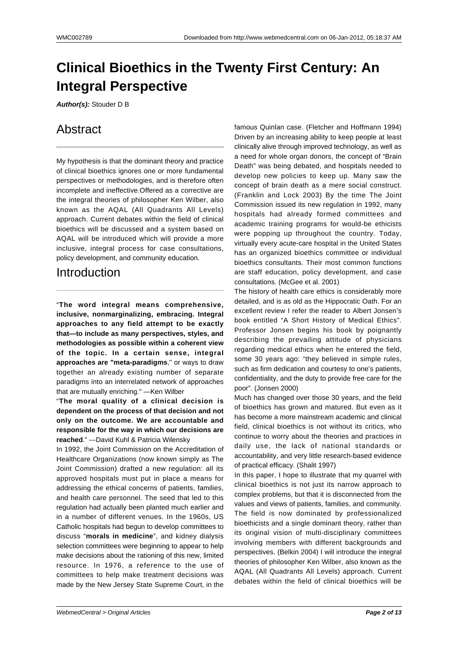# **Clinical Bioethics in the Twenty First Century: An Integral Perspective**

**Author(s):** Stouder D B

# Abstract

My hypothesis is that the dominant theory and practice of clinical bioethics ignores one or more fundamental perspectives or methodologies, and is therefore often incomplete and ineffective.Offered as a corrective are the integral theories of philosopher Ken Wilber, also known as the AQAL (All Quadrants All Levels) approach. Current debates within the field of clinical bioethics will be discussed and a system based on AQAL will be introduced which will provide a more inclusive, integral process for case consultations, policy development, and community education.

# Introduction

"**The word integral means comprehensive, inclusive, nonmarginalizing, embracing. Integral approaches to any field attempt to be exactly that—to include as many perspectives, styles, and methodologies as possible within a coherent view of the topic. In a certain sense, integral approaches are "meta-paradigms**," or ways to draw together an already existing number of separate paradigms into an interrelated network of approaches that are mutually enriching." —Ken Wilber

"**The moral quality of a clinical decision is dependent on the process of that decision and not only on the outcome. We are accountable and responsible for the way in which our decisions are reached**." ---David Kuhl & Patricia Wilensky

In 1992, the Joint Commission on the Accreditation of Healthcare Organizations (now known simply as The Joint Commission) drafted a new regulation: all its approved hospitals must put in place a means for addressing the ethical concerns of patients, families, and health care personnel. The seed that led to this regulation had actually been planted much earlier and in a number of different venues. In the 1960s, US Catholic hospitals had begun to develop committees to discuss "**morals in medicine**", and kidney dialysis selection committees were beginning to appear to help make decisions about the rationing of this new, limited resource. In 1976, a reference to the use of committees to help make treatment decisions was made by the New Jersey State Supreme Court, in the

famous Quinlan case. (Fletcher and Hoffmann 1994) Driven by an increasing ability to keep people at least clinically alive through improved technology, as well as a need for whole organ donors, the concept of "Brain Death" was being debated, and hospitals needed to develop new policies to keep up. Many saw the concept of brain death as a mere social construct. (Franklin and Lock 2003) By the time The Joint Commission issued its new regulation in 1992, many hospitals had already formed committees and academic training programs for would-be ethicists were popping up throughout the country. Today, virtually every acute-care hospital in the United States has an organized bioethics committee or individual bioethics consultants. Their most common functions are staff education, policy development, and case consultations. (McGee et al. 2001)

The history of health care ethics is considerably more detailed, and is as old as the Hippocratic Oath. For an excellent review I refer the reader to Albert Jonsen's book entitled "A Short History of Medical Ethics". Professor Jonsen begins his book by poignantly describing the prevailing attitude of physicians regarding medical ethics when he entered the field, some 30 years ago: "they believed in simple rules, such as firm dedication and courtesy to one's patients, confidentiality, and the duty to provide free care for the poor". (Jonsen 2000)

Much has changed over those 30 years, and the field of bioethics has grown and matured. But even as it has become a more mainstream academic and clinical field, clinical bioethics is not without its critics, who continue to worry about the theories and practices in daily use, the lack of national standards or accountability, and very little research-based evidence of practical efficacy. (Shalit 1997)

In this paper, I hope to illustrate that my quarrel with clinical bioethics is not just its narrow approach to complex problems, but that it is disconnected from the values and views of patients, families, and community. The field is now dominated by professionalized bioethicists and a single dominant theory, rather than its original vision of multi-disciplinary committees involving members with different backgrounds and perspectives. (Belkin 2004) I will introduce the integral theories of philosopher Ken Wilber, also known as the AQAL (All Quadrants All Levels) approach. Current debates within the field of clinical bioethics will be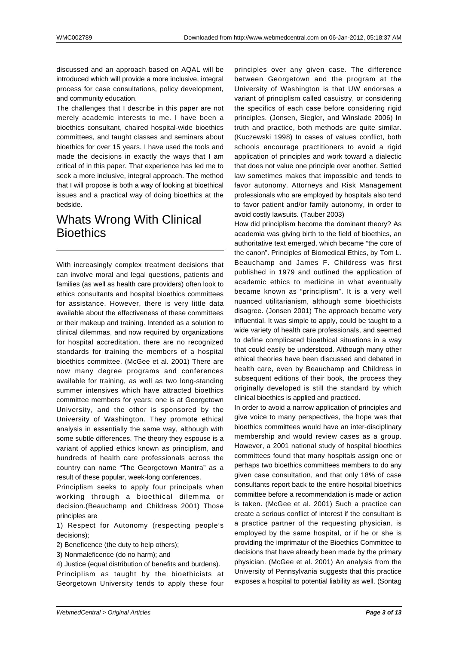discussed and an approach based on AQAL will be introduced which will provide a more inclusive, integral process for case consultations, policy development, and community education.

The challenges that I describe in this paper are not merely academic interests to me. I have been a bioethics consultant, chaired hospital-wide bioethics committees, and taught classes and seminars about bioethics for over 15 years. I have used the tools and made the decisions in exactly the ways that I am critical of in this paper. That experience has led me to seek a more inclusive, integral approach. The method that I will propose is both a way of looking at bioethical issues and a practical way of doing bioethics at the bedside.

## Whats Wrong With Clinical **Bioethics**

With increasingly complex treatment decisions that can involve moral and legal questions, patients and families (as well as health care providers) often look to ethics consultants and hospital bioethics committees for assistance. However, there is very little data available about the effectiveness of these committees or their makeup and training. Intended as a solution to clinical dilemmas, and now required by organizations for hospital accreditation, there are no recognized standards for training the members of a hospital bioethics committee. (McGee et al. 2001) There are now many degree programs and conferences available for training, as well as two long-standing summer intensives which have attracted bioethics committee members for years; one is at Georgetown University, and the other is sponsored by the University of Washington. They promote ethical analysis in essentially the same way, although with some subtle differences. The theory they espouse is a variant of applied ethics known as principlism, and hundreds of health care professionals across the country can name "The Georgetown Mantra" as a result of these popular, week-long conferences.

Principlism seeks to apply four principals when working through a bioethical dilemma or decision.(Beauchamp and Childress 2001) Those principles are

1) Respect for Autonomy (respecting people's decisions);

2) Beneficence (the duty to help others);

3) Nonmaleficence (do no harm); and

4) Justice (equal distribution of benefits and burdens).

Principlism as taught by the bioethicists at Georgetown University tends to apply these four

principles over any given case. The difference between Georgetown and the program at the University of Washington is that UW endorses a variant of principlism called casuistry, or considering the specifics of each case before considering rigid principles. (Jonsen, Siegler, and Winslade 2006) In truth and practice, both methods are quite similar. (Kuczewski 1998) In cases of values conflict, both schools encourage practitioners to avoid a rigid application of principles and work toward a dialectic that does not value one principle over another. Settled law sometimes makes that impossible and tends to favor autonomy. Attorneys and Risk Management professionals who are employed by hospitals also tend to favor patient and/or family autonomy, in order to avoid costly lawsuits. (Tauber 2003)

How did principlism become the dominant theory? As academia was giving birth to the field of bioethics, an authoritative text emerged, which became "the core of the canon". Principles of Biomedical Ethics, by Tom L. Beauchamp and James F. Childress was first published in 1979 and outlined the application of academic ethics to medicine in what eventually became known as "principlism". It is a very well nuanced utilitarianism, although some bioethicists disagree. (Jonsen 2001) The approach became very influential. It was simple to apply, could be taught to a wide variety of health care professionals, and seemed to define complicated bioethical situations in a way that could easily be understood. Although many other ethical theories have been discussed and debated in health care, even by Beauchamp and Childress in subsequent editions of their book, the process they originally developed is still the standard by which clinical bioethics is applied and practiced.

In order to avoid a narrow application of principles and give voice to many perspectives, the hope was that bioethics committees would have an inter-disciplinary membership and would review cases as a group. However, a 2001 national study of hospital bioethics committees found that many hospitals assign one or perhaps two bioethics committees members to do any given case consultation, and that only 18% of case consultants report back to the entire hospital bioethics committee before a recommendation is made or action is taken. (McGee et al. 2001) Such a practice can create a serious conflict of interest if the consultant is a practice partner of the requesting physician, is employed by the same hospital, or if he or she is providing the imprimatur of the Bioethics Committee to decisions that have already been made by the primary physician. (McGee et al. 2001) An analysis from the University of Pennsylvania suggests that this practice exposes a hospital to potential liability as well. (Sontag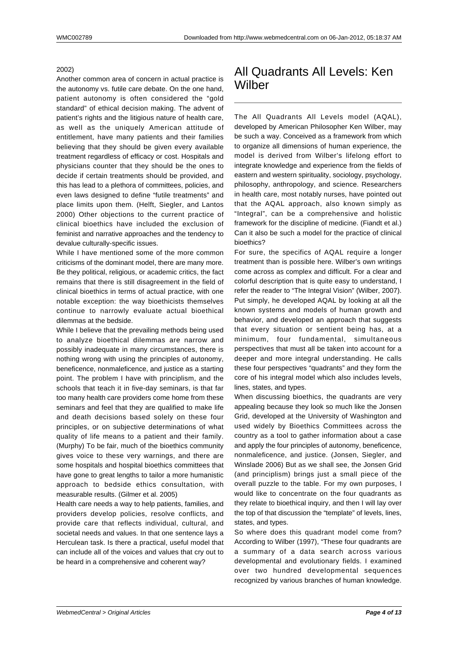#### 2002)

Another common area of concern in actual practice is the autonomy vs. futile care debate. On the one hand, patient autonomy is often considered the "gold standard" of ethical decision making. The advent of patient's rights and the litigious nature of health care, as well as the uniquely American attitude of entitlement, have many patients and their families believing that they should be given every available treatment regardless of efficacy or cost. Hospitals and physicians counter that they should be the ones to decide if certain treatments should be provided, and this has lead to a plethora of committees, policies, and even laws designed to define "futile treatments" and place limits upon them. (Helft, Siegler, and Lantos 2000) Other objections to the current practice of clinical bioethics have included the exclusion of feminist and narrative approaches and the tendency to devalue culturally-specific issues.

While I have mentioned some of the more common criticisms of the dominant model, there are many more. Be they political, religious, or academic critics, the fact remains that there is still disagreement in the field of clinical bioethics in terms of actual practice, with one notable exception: the way bioethicists themselves continue to narrowly evaluate actual bioethical dilemmas at the bedside.

While I believe that the prevailing methods being used to analyze bioethical dilemmas are narrow and possibly inadequate in many circumstances, there is nothing wrong with using the principles of autonomy, beneficence, nonmaleficence, and justice as a starting point. The problem I have with principlism, and the schools that teach it in five-day seminars, is that far too many health care providers come home from these seminars and feel that they are qualified to make life and death decisions based solely on these four principles, or on subjective determinations of what quality of life means to a patient and their family. (Murphy) To be fair, much of the bioethics community gives voice to these very warnings, and there are some hospitals and hospital bioethics committees that have gone to great lengths to tailor a more humanistic approach to bedside ethics consultation, with measurable results. (Gilmer et al. 2005)

Health care needs a way to help patients, families, and providers develop policies, resolve conflicts, and provide care that reflects individual, cultural, and societal needs and values. In that one sentence lays a Herculean task. Is there a practical, useful model that can include all of the voices and values that cry out to be heard in a comprehensive and coherent way?

### All Quadrants All Levels: Ken Wilber

The All Quadrants All Levels model (AQAL), developed by American Philosopher Ken Wilber, may be such a way. Conceived as a framework from which to organize all dimensions of human experience, the model is derived from Wilber's lifelong effort to integrate knowledge and experience from the fields of eastern and western spirituality, sociology, psychology, philosophy, anthropology, and science. Researchers in health care, most notably nurses, have pointed out that the AQAL approach, also known simply as "Integral", can be a comprehensive and holistic framework for the discipline of medicine. (Fiandt et al.) Can it also be such a model for the practice of clinical bioethics?

For sure, the specifics of AQAL require a longer treatment than is possible here. Wilber's own writings come across as complex and difficult. For a clear and colorful description that is quite easy to understand, I refer the reader to "The Integral Vision" (Wilber, 2007). Put simply, he developed AQAL by looking at all the known systems and models of human growth and behavior, and developed an approach that suggests that every situation or sentient being has, at a minimum, four fundamental, simultaneous perspectives that must all be taken into account for a deeper and more integral understanding. He calls these four perspectives "quadrants" and they form the core of his integral model which also includes levels, lines, states, and types.

When discussing bioethics, the quadrants are very appealing because they look so much like the Jonsen Grid, developed at the University of Washington and used widely by Bioethics Committees across the country as a tool to gather information about a case and apply the four principles of autonomy, beneficence, nonmaleficence, and justice. (Jonsen, Siegler, and Winslade 2006) But as we shall see, the Jonsen Grid (and principlism) brings just a small piece of the overall puzzle to the table. For my own purposes, I would like to concentrate on the four quadrants as they relate to bioethical inquiry, and then I will lay over the top of that discussion the "template" of levels, lines, states, and types.

So where does this quadrant model come from? According to Wilber (1997), "These four quadrants are a summary of a data search across various developmental and evolutionary fields. I examined over two hundred developmental sequences recognized by various branches of human knowledge.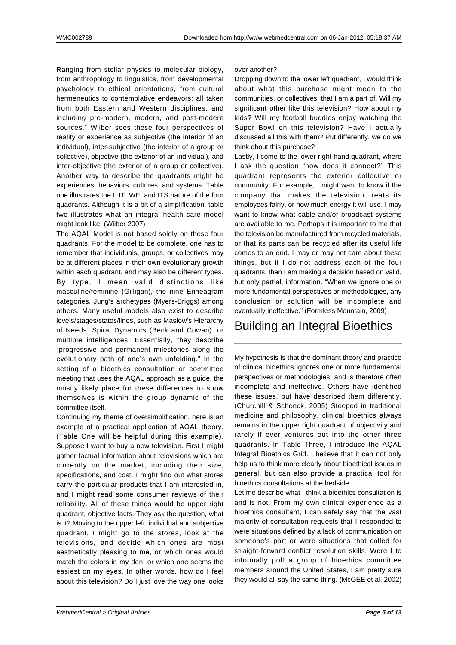Ranging from stellar physics to molecular biology, from anthropology to linguistics, from developmental psychology to ethical orientations, from cultural hermeneutics to contemplative endeavors; all taken from both Eastern and Western disciplines, and including pre-modern, modern, and post-modern sources." Wilber sees these four perspectives of reality or experience as subjective (the interior of an individual), inter-subjective (the interior of a group or collective), objective (the exterior of an individual), and inter-objective (the exterior of a group or collective). Another way to describe the quadrants might be experiences, behaviors, cultures, and systems. Table one illustrates the I, IT, WE, and ITS nature of the four quadrants. Although it is a bit of a simplification, table two illustrates what an integral health care model might look like. (Wilber 2007)

The AQAL Model is not based solely on these four quadrants. For the model to be complete, one has to remember that individuals, groups, or collectives may be at different places in their own evolutionary growth within each quadrant, and may also be different types. By type, I mean valid distinctions like masculine/feminine (Gilligan), the nine Enneagram categories, Jung's archetypes (Myers-Briggs) among others. Many useful models also exist to describe levels/stages/states/lines, such as Maslow's Hierarchy of Needs, Spiral Dynamics (Beck and Cowan), or multiple intelligences. Essentially, they describe "progressive and permanent milestones along the evolutionary path of one's own unfolding." In the setting of a bioethics consultation or committee meeting that uses the AQAL approach as a guide, the mostly likely place for these differences to show themselves is within the group dynamic of the committee itself.

Continuing my theme of oversimplification, here is an example of a practical application of AQAL theory. (Table One will be helpful during this example). Suppose I want to buy a new television. First I might gather factual information about televisions which are currently on the market, including their size, specifications, and cost. I might find out what stores carry the particular products that I am interested in, and I might read some consumer reviews of their reliability. All of these things would be upper right quadrant, objective facts. They ask the question, what is it? Moving to the upper left, individual and subjective quadrant, I might go to the stores, look at the televisions, and decide which ones are most aesthetically pleasing to me, or which ones would match the colors in my den, or which one seems the easiest on my eyes. In other words, how do I feel about this television? Do I just love the way one looks

#### over another?

Dropping down to the lower left quadrant, I would think about what this purchase might mean to the communities, or collectives, that I am a part of. Will my significant other like this television? How about my kids? Will my football buddies enjoy watching the Super Bowl on this television? Have I actually discussed all this with them? Put differently, we do we think about this purchase?

Lastly, I come to the lower right hand quadrant, where I ask the question "how does it connect?" This quadrant represents the exterior collective or community. For example, I might want to know if the company that makes the television treats its employees fairly, or how much energy it will use. I may want to know what cable and/or broadcast systems are available to me. Perhaps it is important to me that the television be manufactured from recycled materials, or that its parts can be recycled after its useful life comes to an end. I may or may not care about these things, but if I do not address each of the four quadrants, then I am making a decision based on valid, but only partial, information. "When we ignore one or more fundamental perspectives or methodologies, any conclusion or solution will be incomplete and eventually ineffective." (Formless Mountain, 2009)

# Building an Integral Bioethics

My hypothesis is that the dominant theory and practice of clinical bioethics ignores one or more fundamental perspectives or methodologies, and is therefore often incomplete and ineffective. Others have identified these issues, but have described them differently. (Churchill & Schenck, 2005) Steeped in traditional medicine and philosophy, clinical bioethics always remains in the upper right quadrant of objectivity and rarely if ever ventures out into the other three quadrants. In Table Three, I introduce the AQAL Integral Bioethics Grid. I believe that it can not only help us to think more clearly about bioethical issues in general, but can also provide a practical tool for bioethics consultations at the bedside.

Let me describe what I think a bioethics consultation is and is not. From my own clinical experience as a bioethics consultant, I can safely say that the vast majority of consultation requests that I responded to were situations defined by a lack of communication on someone's part or were situations that called for straight-forward conflict resolution skills. Were I to informally poll a group of bioethics committee members around the United States, I am pretty sure they would all say the same thing. (McGEE et al. 2002)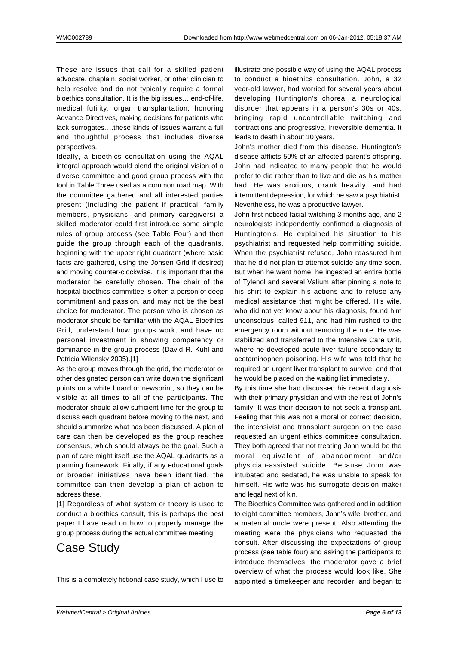These are issues that call for a skilled patient advocate, chaplain, social worker, or other clinician to help resolve and do not typically require a formal bioethics consultation. It is the big issues….end-of-life, medical futility, organ transplantation, honoring Advance Directives, making decisions for patients who lack surrogates….these kinds of issues warrant a full and thoughtful process that includes diverse perspectives.

Ideally, a bioethics consultation using the AQAL integral approach would blend the original vision of a diverse committee and good group process with the tool in Table Three used as a common road map. With the committee gathered and all interested parties present (including the patient if practical, family members, physicians, and primary caregivers) a skilled moderator could first introduce some simple rules of group process (see Table Four) and then guide the group through each of the quadrants, beginning with the upper right quadrant (where basic facts are gathered, using the Jonsen Grid if desired) and moving counter-clockwise. It is important that the moderator be carefully chosen. The chair of the hospital bioethics committee is often a person of deep commitment and passion, and may not be the best choice for moderator. The person who is chosen as moderator should be familiar with the AQAL Bioethics Grid, understand how groups work, and have no personal investment in showing competency or dominance in the group process (David R. Kuhl and Patricia Wilensky 2005).[1]

As the group moves through the grid, the moderator or other designated person can write down the significant points on a white board or newsprint, so they can be visible at all times to all of the participants. The moderator should allow sufficient time for the group to discuss each quadrant before moving to the next, and should summarize what has been discussed. A plan of care can then be developed as the group reaches consensus, which should always be the goal. Such a plan of care might itself use the AQAL quadrants as a planning framework. Finally, if any educational goals or broader initiatives have been identified, the committee can then develop a plan of action to address these.

[1] Regardless of what system or theory is used to conduct a bioethics consult, this is perhaps the best paper I have read on how to properly manage the group process during the actual committee meeting.

# Case Study

This is a completely fictional case study, which I use to

illustrate one possible way of using the AQAL process to conduct a bioethics consultation. John, a 32 year-old lawyer, had worried for several years about developing Huntington's chorea, a neurological disorder that appears in a person's 30s or 40s, bringing rapid uncontrollable twitching and contractions and progressive, irreversible dementia. It leads to death in about 10 years.

John's mother died from this disease. Huntington's disease afflicts 50% of an affected parent's offspring. John had indicated to many people that he would prefer to die rather than to live and die as his mother had. He was anxious, drank heavily, and had intermittent depression, for which he saw a psychiatrist. Nevertheless, he was a productive lawyer.

John first noticed facial twitching 3 months ago, and 2 neurologists independently confirmed a diagnosis of Huntington's. He explained his situation to his psychiatrist and requested help committing suicide. When the psychiatrist refused, John reassured him that he did not plan to attempt suicide any time soon. But when he went home, he ingested an entire bottle of Tylenol and several Valium after pinning a note to his shirt to explain his actions and to refuse any medical assistance that might be offered. His wife, who did not yet know about his diagnosis, found him unconscious, called 911, and had him rushed to the emergency room without removing the note. He was stabilized and transferred to the Intensive Care Unit, where he developed acute liver failure secondary to acetaminophen poisoning. His wife was told that he required an urgent liver transplant to survive, and that he would be placed on the waiting list immediately.

By this time she had discussed his recent diagnosis with their primary physician and with the rest of John's family. It was their decision to not seek a transplant. Feeling that this was not a moral or correct decision, the intensivist and transplant surgeon on the case requested an urgent ethics committee consultation. They both agreed that not treating John would be the moral equivalent of abandonment and/or physician-assisted suicide. Because John was intubated and sedated, he was unable to speak for himself. His wife was his surrogate decision maker and legal next of kin.

The Bioethics Committee was gathered and in addition to eight committee members, John's wife, brother, and a maternal uncle were present. Also attending the meeting were the physicians who requested the consult. After discussing the expectations of group process (see table four) and asking the participants to introduce themselves, the moderator gave a brief overview of what the process would look like. She appointed a timekeeper and recorder, and began to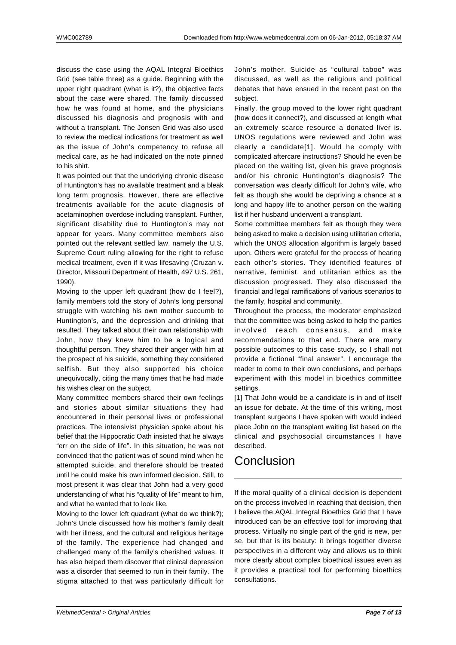discuss the case using the AQAL Integral Bioethics Grid (see table three) as a guide. Beginning with the upper right quadrant (what is it?), the objective facts about the case were shared. The family discussed how he was found at home, and the physicians discussed his diagnosis and prognosis with and without a transplant. The Jonsen Grid was also used to review the medical indications for treatment as well as the issue of John's competency to refuse all medical care, as he had indicated on the note pinned to his shirt.

It was pointed out that the underlying chronic disease of Huntington's has no available treatment and a bleak long term prognosis. However, there are effective treatments available for the acute diagnosis of acetaminophen overdose including transplant. Further, significant disability due to Huntington's may not appear for years. Many committee members also pointed out the relevant settled law, namely the U.S. Supreme Court ruling allowing for the right to refuse medical treatment, even if it was lifesaving (Cruzan v. Director, Missouri Department of Health, 497 U.S. 261, 1990).

Moving to the upper left quadrant (how do I feel?), family members told the story of John's long personal struggle with watching his own mother succumb to Huntington's, and the depression and drinking that resulted. They talked about their own relationship with John, how they knew him to be a logical and thoughtful person. They shared their anger with him at the prospect of his suicide, something they considered selfish. But they also supported his choice unequivocally, citing the many times that he had made his wishes clear on the subject.

Many committee members shared their own feelings and stories about similar situations they had encountered in their personal lives or professional practices. The intensivist physician spoke about his belief that the Hippocratic Oath insisted that he always "err on the side of life". In this situation, he was not convinced that the patient was of sound mind when he attempted suicide, and therefore should be treated until he could make his own informed decision. Still, to most present it was clear that John had a very good understanding of what his "quality of life" meant to him, and what he wanted that to look like.

Moving to the lower left quadrant (what do we think?); John's Uncle discussed how his mother's family dealt with her illness, and the cultural and religious heritage of the family. The experience had changed and challenged many of the family's cherished values. It has also helped them discover that clinical depression was a disorder that seemed to run in their family. The stigma attached to that was particularly difficult for John's mother. Suicide as "cultural taboo" was discussed, as well as the religious and political debates that have ensued in the recent past on the subject.

Finally, the group moved to the lower right quadrant (how does it connect?), and discussed at length what an extremely scarce resource a donated liver is. UNOS regulations were reviewed and John was clearly a candidate[1]. Would he comply with complicated aftercare instructions? Should he even be placed on the waiting list, given his grave prognosis and/or his chronic Huntington's diagnosis? The conversation was clearly difficult for John's wife, who felt as though she would be depriving a chance at a long and happy life to another person on the waiting list if her husband underwent a transplant.

Some committee members felt as though they were being asked to make a decision using utilitarian criteria, which the UNOS allocation algorithm is largely based upon. Others were grateful for the process of hearing each other's stories. They identified features of narrative, feminist, and utilitarian ethics as the discussion progressed. They also discussed the financial and legal ramifications of various scenarios to the family, hospital and community.

Throughout the process, the moderator emphasized that the committee was being asked to help the parties involved reach consensus, and make recommendations to that end. There are many possible outcomes to this case study, so I shall not provide a fictional "final answer". I encourage the reader to come to their own conclusions, and perhaps experiment with this model in bioethics committee settings.

[1] That John would be a candidate is in and of itself an issue for debate. At the time of this writing, most transplant surgeons I have spoken with would indeed place John on the transplant waiting list based on the clinical and psychosocial circumstances I have described.

# **Conclusion**

If the moral quality of a clinical decision is dependent on the process involved in reaching that decision, then I believe the AQAL Integral Bioethics Grid that I have introduced can be an effective tool for improving that process. Virtually no single part of the grid is new, per se, but that is its beauty: it brings together diverse perspectives in a different way and allows us to think more clearly about complex bioethical issues even as it provides a practical tool for performing bioethics consultations.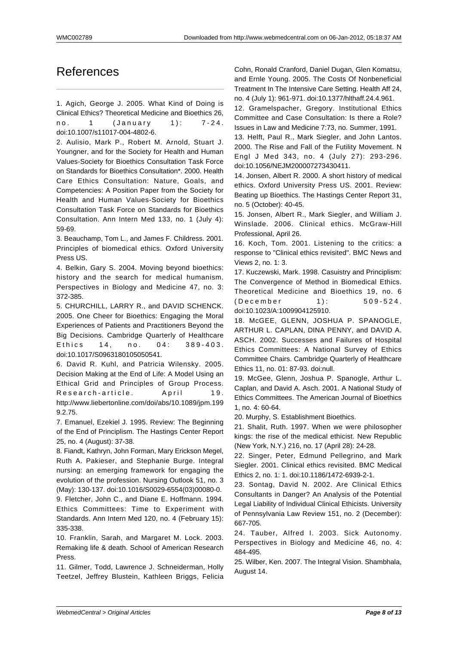### References

1. Agich, George J. 2005. What Kind of Doing is Clinical Ethics? Theoretical Medicine and Bioethics 26, no. 1 (January 1): 7-24. doi:10.1007/s11017-004-4802-6.

2. Aulisio, Mark P., Robert M. Arnold, Stuart J. Youngner, and for the Society for Health and Human Values-Society for Bioethics Consultation Task Force on Standards for Bioethics Consultation\*. 2000. Health Care Ethics Consultation: Nature, Goals, and Competencies: A Position Paper from the Society for Health and Human Values-Society for Bioethics Consultation Task Force on Standards for Bioethics Consultation. Ann Intern Med 133, no. 1 (July 4): 59-69.

3. Beauchamp, Tom L., and James F. Childress. 2001. Principles of biomedical ethics. Oxford University Press US.

4. Belkin, Gary S. 2004. Moving beyond bioethics: history and the search for medical humanism. Perspectives in Biology and Medicine 47, no. 3: 372-385.

5. CHURCHILL, LARRY R., and DAVID SCHENCK. 2005. One Cheer for Bioethics: Engaging the Moral Experiences of Patients and Practitioners Beyond the Big Decisions. Cambridge Quarterly of Healthcare Ethics 14, no. 04: 389-403. doi:10.1017/S0963180105050541.

6. David R. Kuhl, and Patricia Wilensky. 2005. Decision Making at the End of Life: A Model Using an Ethical Grid and Principles of Group Process. Research-article. April 19. http://www.liebertonline.com/doi/abs/10.1089/jpm.199 9.2.75.

7. Emanuel, Ezekiel J. 1995. Review: The Beginning of the End of Principlism. The Hastings Center Report 25, no. 4 (August): 37-38.

8. Fiandt, Kathryn, John Forman, Mary Erickson Megel, Ruth A. Pakieser, and Stephanie Burge. Integral nursing: an emerging framework for engaging the evolution of the profession. Nursing Outlook 51, no. 3 (May): 130-137. doi:10.1016/S0029-6554(03)00080-0.

9. Fletcher, John C., and Diane E. Hoffmann. 1994. Ethics Committees: Time to Experiment with Standards. Ann Intern Med 120, no. 4 (February 15): 335-338.

10. Franklin, Sarah, and Margaret M. Lock. 2003. Remaking life & death. School of American Research Press.

11. Gilmer, Todd, Lawrence J. Schneiderman, Holly Teetzel, Jeffrey Blustein, Kathleen Briggs, Felicia Cohn, Ronald Cranford, Daniel Dugan, Glen Komatsu, and Ernle Young. 2005. The Costs Of Nonbeneficial Treatment In The Intensive Care Setting. Health Aff 24, no. 4 (July 1): 961-971. doi:10.1377/hlthaff.24.4.961.

12. Gramelspacher, Gregory. Institutional Ethics Committee and Case Consultation: Is there a Role? Issues in Law and Medicine 7:73, no. Summer, 1991.

13. Helft, Paul R., Mark Siegler, and John Lantos. 2000. The Rise and Fall of the Futility Movement. N Engl J Med 343, no. 4 (July 27): 293-296. doi:10.1056/NEJM200007273430411.

14. Jonsen, Albert R. 2000. A short history of medical ethics. Oxford University Press US. 2001. Review: Beating up Bioethics. The Hastings Center Report 31, no. 5 (October): 40-45.

15. Jonsen, Albert R., Mark Siegler, and William J. Winslade. 2006. Clinical ethics. McGraw-Hill Professional, April 26.

16. Koch, Tom. 2001. Listening to the critics: a response to "Clinical ethics revisited". BMC News and Views 2, no. 1: 3.

17. Kuczewski, Mark. 1998. Casuistry and Principlism: The Convergence of Method in Biomedical Ethics. Theoretical Medicine and Bioethics 19, no. 6 (December 1): 509-524. doi:10.1023/A:1009904125910.

18. McGEE, GLENN, JOSHUA P. SPANOGLE, ARTHUR L. CAPLAN, DINA PENNY, and DAVID A. ASCH. 2002. Successes and Failures of Hospital Ethics Committees: A National Survey of Ethics Committee Chairs. Cambridge Quarterly of Healthcare Ethics 11, no. 01: 87-93. doi:null.

19. McGee, Glenn, Joshua P. Spanogle, Arthur L. Caplan, and David A. Asch. 2001. A National Study of Ethics Committees. The American Journal of Bioethics 1, no. 4: 60-64.

20. Murphy, S. Establishment Bioethics.

21. Shalit, Ruth. 1997. When we were philosopher kings: the rise of the medical ethicist. New Republic (New York, N.Y.) 216, no. 17 (April 28): 24-28.

22. Singer, Peter, Edmund Pellegrino, and Mark Siegler. 2001. Clinical ethics revisited. BMC Medical Ethics 2, no. 1: 1. doi:10.1186/1472-6939-2-1.

23. Sontag, David N. 2002. Are Clinical Ethics Consultants in Danger? An Analysis of the Potential Legal Liability of Individual Clinical Ethicists. University of Pennsylvania Law Review 151, no. 2 (December): 667-705.

24. Tauber, Alfred I. 2003. Sick Autonomy. Perspectives in Biology and Medicine 46, no. 4: 484-495.

25. Wilber, Ken. 2007. The Integral Vision. Shambhala, August 14.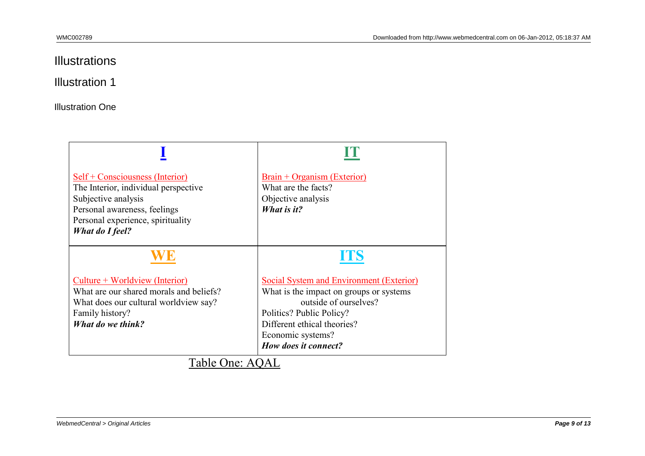# Illustrations

### Illustration 1

**Illustration One** 

| Self + Consciousness (Interior)<br>The Interior, individual perspective<br>Subjective analysis<br>Personal awareness, feelings<br>Personal experience, spirituality<br><b>What do I feel?</b>                           | <u> Brain + Organism (Exterior)</u><br>What are the facts?<br>Objective analysis<br>What is it?                                                                                                                             |
|-------------------------------------------------------------------------------------------------------------------------------------------------------------------------------------------------------------------------|-----------------------------------------------------------------------------------------------------------------------------------------------------------------------------------------------------------------------------|
|                                                                                                                                                                                                                         | <b>TIS</b>                                                                                                                                                                                                                  |
| <u>Culture + Worldview (Interior)</u><br>What are our shared morals and beliefs?<br>What does our cultural worldview say?<br>Family history?<br>What do we think?<br>$T-1.1 - \Omega_{\text{max}} + \Omega_{\text{MT}}$ | <b>Social System and Environment (Exterior)</b><br>What is the impact on groups or systems<br>outside of ourselves?<br>Politics? Public Policy?<br>Different ethical theories?<br>Economic systems?<br>How does it connect? |

### <u>Table One: AQAL</u>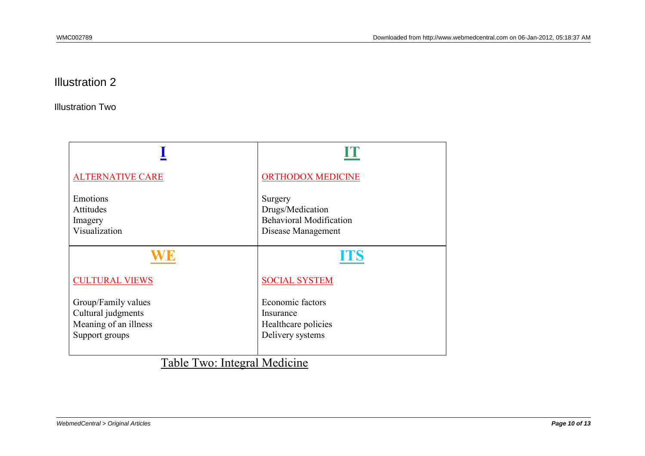### Illustration 2

Illustration Two

| <b>ALTERNATIVE CARE</b>                                   | <b>ORTHODOX MEDICINE</b>       |
|-----------------------------------------------------------|--------------------------------|
| Emotions                                                  | Surgery                        |
| Attitudes                                                 | Drugs/Medication               |
| Imagery                                                   | <b>Behavioral Modification</b> |
| Visualization                                             | Disease Management             |
|                                                           | <b>ITS</b>                     |
| <b>CULTURAL VIEWS</b>                                     | <b>SOCIAL SYSTEM</b>           |
| Group/Family values                                       | Economic factors               |
| Cultural judgments                                        | Insurance                      |
| Meaning of an illness                                     | Healthcare policies            |
| Support groups                                            | Delivery systems               |
| $T = 11$<br>$\mathbf{r}$ and $\mathbf{r}$<br>$\mathbf{r}$ | $1.3.5 \pm 1.7$                |

Table Two: Integral Medicine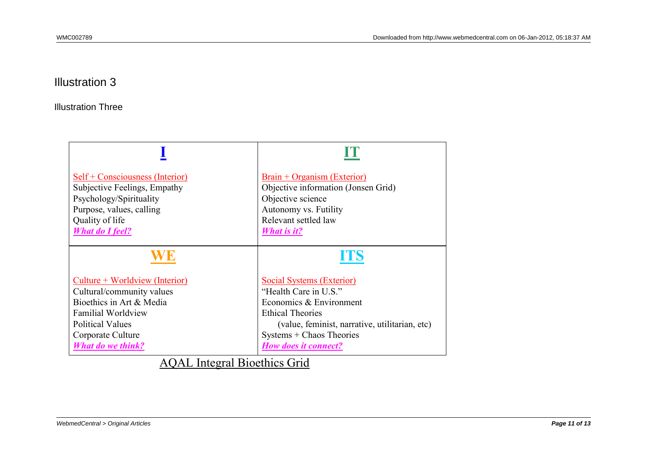### Illustration 3

Illustration Three

| Self + Consciousness (Interior) | <u> Brain + Organism (Exterior)</u>            |
|---------------------------------|------------------------------------------------|
| Subjective Feelings, Empathy    | Objective information (Jonsen Grid)            |
| Psychology/Spirituality         | Objective science                              |
| Purpose, values, calling        | Autonomy vs. Futility                          |
| Quality of life                 | Relevant settled law                           |
| <b>What do I feel?</b>          | <b>What is it?</b>                             |
|                                 | UIS                                            |
| Culture + Worldview (Interior)  | <b>Social Systems (Exterior)</b>               |
| Cultural/community values       | "Health Care in U.S."                          |
| Bioethics in Art & Media        | Economics & Environment                        |
| <b>Familial Worldview</b>       | <b>Ethical Theories</b>                        |
| <b>Political Values</b>         | (value, feminist, narrative, utilitarian, etc) |
| Corporate Culture               | Systems + Chaos Theories                       |
| <b>What do we think?</b>        | <b>How does it connect?</b>                    |

AQAL Integral Bioethics Grid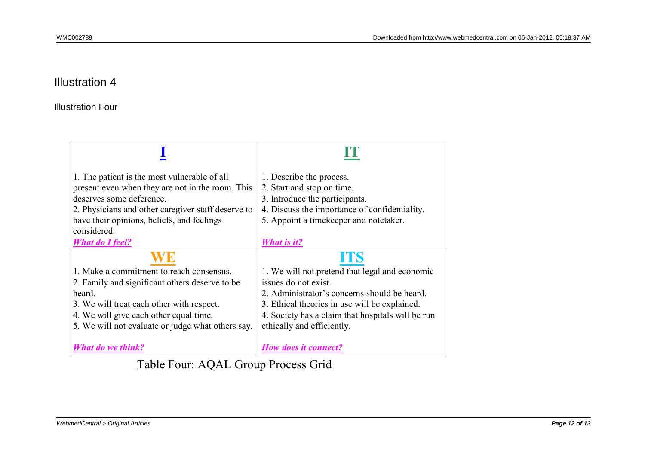### Illustration 4

Illustration Four

| 1. The patient is the most vulnerable of all<br>present even when they are not in the room. This<br>deserves some deference.<br>2. Physicians and other caregiver staff deserve to<br>have their opinions, beliefs, and feelings                 | 1. Describe the process.<br>2. Start and stop on time.<br>3. Introduce the participants.<br>4. Discuss the importance of confidentiality.<br>5. Appoint a timekeeper and notetaker.                                                                               |
|--------------------------------------------------------------------------------------------------------------------------------------------------------------------------------------------------------------------------------------------------|-------------------------------------------------------------------------------------------------------------------------------------------------------------------------------------------------------------------------------------------------------------------|
| considered.<br><b>What do I feel?</b>                                                                                                                                                                                                            | <b>What is it?</b>                                                                                                                                                                                                                                                |
| 1. Make a commitment to reach consensus.<br>2. Family and significant others deserve to be<br>heard.<br>3. We will treat each other with respect.<br>4. We will give each other equal time.<br>5. We will not evaluate or judge what others say. | ITS<br>1. We will not pretend that legal and economic<br>issues do not exist.<br>2. Administrator's concerns should be heard.<br>3. Ethical theories in use will be explained.<br>4. Society has a claim that hospitals will be run<br>ethically and efficiently. |
| <b>What do we think?</b><br>$T11 T \cdot \Lambda \cap \Lambda T \cap \Gamma$                                                                                                                                                                     | <b>How does it connect?</b>                                                                                                                                                                                                                                       |

Table Four: AQAL Group Process Grid